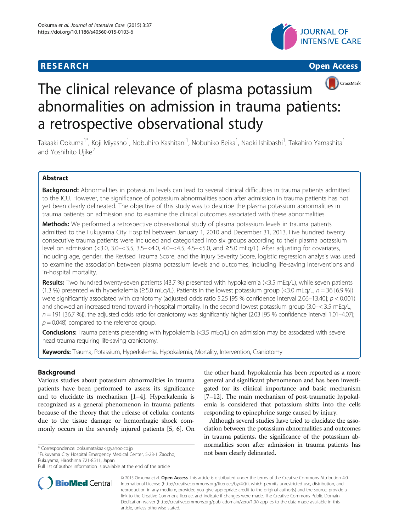## **RESEARCH CHINESE ARCH CHINESE ARCH CHINESE ARCH <b>CHINESE ARCH**







# The clinical relevance of plasma potassium abnormalities on admission in trauma patients: a retrospective observational study

Takaaki Ookuma<sup>1\*</sup>, Koji Miyasho<sup>1</sup>, Nobuhiro Kashitani<sup>1</sup>, Nobuhiko Beika<sup>1</sup>, Naoki Ishibashi<sup>1</sup>, Takahiro Yamashita<sup>1</sup> and Yoshihito Ujike<sup>2</sup>

## Abstract

Background: Abnormalities in potassium levels can lead to several clinical difficulties in trauma patients admitted to the ICU. However, the significance of potassium abnormalities soon after admission in trauma patients has not yet been clearly delineated. The objective of this study was to describe the plasma potassium abnormalities in trauma patients on admission and to examine the clinical outcomes associated with these abnormalities.

**Methods:** We performed a retrospective observational study of plasma potassium levels in trauma patients admitted to the Fukuyama City Hospital between January 1, 2010 and December 31, 2013. Five hundred twenty consecutive trauma patients were included and categorized into six groups according to their plasma potassium level on admission (<3.0, 3.0–<3.5, 3.5–<4.0, 4.0–<4.5, 4.5–<5.0, and ≥5.0 mEq/L). After adjusting for covariates, including age, gender, the Revised Trauma Score, and the Injury Severity Score, logistic regression analysis was used to examine the association between plasma potassium levels and outcomes, including life-saving interventions and in-hospital mortality.

Results: Two hundred twenty-seven patients (43.7 %) presented with hypokalemia (<3.5 mEq/L), while seven patients (1.3 %) presented with hyperkalemia ( $\geq$ 5.0 mEq/L). Patients in the lowest potassium group (<3.0 mEq/L,  $n = 36$  [6.9 %]) were significantly associated with craniotomy (adjusted odds ratio 5.25 [95 % confidence interval 2.06–13.40];  $p < 0.001$ ) and showed an increased trend toward in-hospital mortality. In the second lowest potassium group (3.0–< 3.5 mEq/L,  $n = 191$  [36.7 %]), the adjusted odds ratio for craniotomy was significantly higher (2.03 [95 % confidence interval 1.01–4.07];  $p = 0.048$ ) compared to the reference group.

Conclusions: Trauma patients presenting with hypokalemia (<3.5 mEq/L) on admission may be associated with severe head trauma requiring life-saving craniotomy.

Keywords: Trauma, Potassium, Hyperkalemia, Hypokalemia, Mortality, Intervention, Craniotomy

## Background

Various studies about potassium abnormalities in trauma patients have been performed to assess its significance and to elucidate its mechanism [\[1](#page-5-0)–[4\]](#page-5-0). Hyperkalemia is recognized as a general phenomenon in trauma patients because of the theory that the release of cellular contents due to the tissue damage or hemorrhagic shock commonly occurs in the severely injured patients [\[5](#page-5-0), [6](#page-6-0)]. On

not been clearly delineated. \* Correspondence: [ookumatakaaki@yahoo.co.jp](mailto:ookumatakaaki@yahoo.co.jp) <sup>1</sup> Fukuyama City Hospital Emergency Medical Center, 5-23-1 Zaocho, Fukuyama, Hiroshima 721-8511, Japan



Although several studies have tried to elucidate the association between the potassium abnormalities and outcomes in trauma patients, the significance of the potassium abnormalities soon after admission in trauma patients has



© 2015 Ookuma et al. Open Access This article is distributed under the terms of the Creative Commons Attribution 4.0 International License [\(http://creativecommons.org/licenses/by/4.0/\)](http://creativecommons.org/licenses/by/4.0), which permits unrestricted use, distribution, and reproduction in any medium, provided you give appropriate credit to the original author(s) and the source, provide a link to the Creative Commons license, and indicate if changes were made. The Creative Commons Public Domain Dedication waiver ([http://creativecommons.org/publicdomain/zero/1.0/\)](http://creativecommons.org/publicdomain/zero/1.0/) applies to the data made available in this article, unless otherwise stated.

Full list of author information is available at the end of the article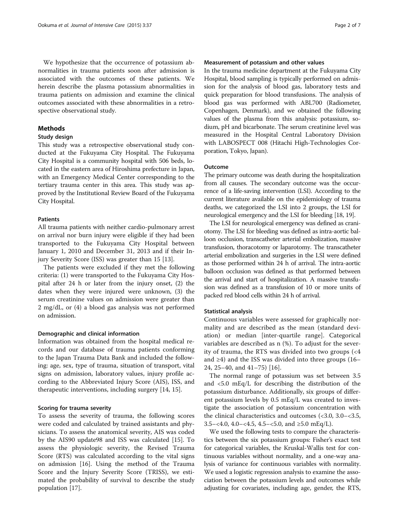We hypothesize that the occurrence of potassium abnormalities in trauma patients soon after admission is associated with the outcomes of these patients. We herein describe the plasma potassium abnormalities in trauma patients on admission and examine the clinical outcomes associated with these abnormalities in a retrospective observational study.

## Methods

## Study design

This study was a retrospective observational study conducted at the Fukuyama City Hospital. The Fukuyama City Hospital is a community hospital with 506 beds, located in the eastern area of Hiroshima prefecture in Japan, with an Emergency Medical Center corresponding to the tertiary trauma center in this area. This study was approved by the Institutional Review Board of the Fukuyama City Hospital.

## Patients

All trauma patients with neither cardio-pulmonary arrest on arrival nor burn injury were eligible if they had been transported to the Fukuyama City Hospital between January 1, 2010 and December 31, 2013 and if their Injury Severity Score (ISS) was greater than 15 [\[13](#page-6-0)].

The patients were excluded if they met the following criteria: (1) were transported to the Fukuyama City Hospital after 24 h or later from the injury onset, (2) the dates when they were injured were unknown, (3) the serum creatinine values on admission were greater than 2 mg/dL, or (4) a blood gas analysis was not performed on admission.

### Demographic and clinical information

Information was obtained from the hospital medical records and our database of trauma patients conforming to the Japan Trauma Data Bank and included the following: age, sex, type of trauma, situation of transport, vital signs on admission, laboratory values, injury profile according to the Abbreviated Injury Score (AIS), ISS, and therapeutic interventions, including surgery [[14, 15\]](#page-6-0).

#### Scoring for trauma severity

To assess the severity of trauma, the following scores were coded and calculated by trained assistants and physicians. To assess the anatomical severity, AIS was coded by the AIS90 update98 and ISS was calculated [[15\]](#page-6-0). To assess the physiologic severity, the Revised Trauma Score (RTS) was calculated according to the vital signs on admission [\[16](#page-6-0)]. Using the method of the Trauma Score and the Injury Severity Score (TRISS), we estimated the probability of survival to describe the study population [[17\]](#page-6-0).

## Measurement of potassium and other values

In the trauma medicine department at the Fukuyama City Hospital, blood sampling is typically performed on admission for the analysis of blood gas, laboratory tests and quick preparation for blood transfusions. The analysis of blood gas was performed with ABL700 (Radiometer, Copenhagen, Denmark), and we obtained the following values of the plasma from this analysis: potassium, sodium, pH and bicarbonate. The serum creatinine level was measured in the Hospital Central Laboratory Division with LABOSPECT 008 (Hitachi High-Technologies Corporation, Tokyo, Japan).

## Outcome

The primary outcome was death during the hospitalization from all causes. The secondary outcome was the occurrence of a life-saving intervention (LSI). According to the current literature available on the epidemiology of trauma deaths, we categorized the LSI into 2 groups, the LSI for neurological emergency and the LSI for bleeding [\[18, 19\]](#page-6-0).

The LSI for neurological emergency was defined as craniotomy. The LSI for bleeding was defined as intra-aortic balloon occlusion, transcatheter arterial embolization, massive transfusion, thoracotomy or laparotomy. The transcatheter arterial embolization and surgeries in the LSI were defined as those performed within 24 h of arrival. The intra-aortic balloon occlusion was defined as that performed between the arrival and start of hospitalization. A massive transfusion was defined as a transfusion of 10 or more units of packed red blood cells within 24 h of arrival.

## Statistical analysis

Continuous variables were assessed for graphically normality and are described as the mean (standard deviation) or median [inter-quartile range]. Categorical variables are described as n (%). To adjust for the severity of trauma, the RTS was divided into two groups (<4 and ≥4) and the ISS was divided into three groups (16– 24, 25–40, and 41–75) [[16\]](#page-6-0).

The normal range of potassium was set between 3.5 and <5.0 mEq/L for describing the distribution of the potassium disturbance. Additionally, six groups of different potassium levels by 0.5 mEq/L was created to investigate the association of potassium concentration with the clinical characteristics and outcomes (<3.0, 3.0–<3.5, 3.5–<4.0, 4.0–<4.5, 4.5–<5.0, and  $\geq 5.0$  mEq/L).

We used the following tests to compare the characteristics between the six potassium groups: Fisher's exact test for categorical variables, the Kruskal-Wallis test for continuous variables without normality, and a one-way analysis of variance for continuous variables with normality. We used a logistic regression analysis to examine the association between the potassium levels and outcomes while adjusting for covariates, including age, gender, the RTS,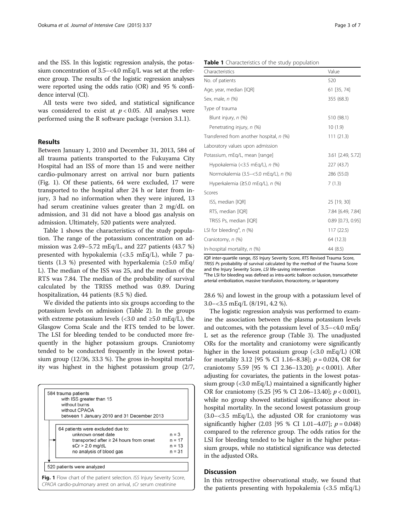and the ISS. In this logistic regression analysis, the potassium concentration of 3.5–<4.0 mEq/L was set at the reference group. The results of the logistic regression analyses were reported using the odds ratio (OR) and 95 % confidence interval (CI).

All tests were two sided, and statistical significance was considered to exist at  $p < 0.05$ . All analyses were performed using the R software package (version 3.1.1).

## Results

Between January 1, 2010 and December 31, 2013, 584 of all trauma patients transported to the Fukuyama City Hospital had an ISS of more than 15 and were neither cardio-pulmonary arrest on arrival nor burn patients (Fig. 1). Of these patients, 64 were excluded, 17 were transported to the hospital after 24 h or later from injury, 3 had no information when they were injured, 13 had serum creatinine values greater than 2 mg/dL on admission, and 31 did not have a blood gas analysis on admission. Ultimately, 520 patients were analyzed.

Table 1 shows the characteristics of the study population. The range of the potassium concentration on admission was 2.49–5.72 mEq/L, and 227 patients (43.7 %) presented with hypokalemia (<3.5 mEq/L), while 7 patients (1.3 %) presented with hyperkalemia (≥5.0 mEq/ L). The median of the ISS was 25, and the median of the RTS was 7.84. The median of the probability of survival calculated by the TRISS method was 0.89. During hospitalization, 44 patients (8.5 %) died.

We divided the patients into six groups according to the potassium levels on admission (Table [2\)](#page-3-0). In the groups with extreme potassium levels (<3.0 and  $\geq$ 5.0 mEq/L), the Glasgow Coma Scale and the RTS tended to be lower. The LSI for bleeding tended to be conducted more frequently in the higher potassium groups. Craniotomy tended to be conducted frequently in the lowest potassium group (12/36, 33.3 %). The gross in-hospital mortality was highest in the highest potassium group (2/7,

| 584 trauma patients                                                    |          |
|------------------------------------------------------------------------|----------|
| with ISS greater than 15                                               |          |
| without burns                                                          |          |
| without CPAOA                                                          |          |
| between 1 January 2010 and 31 December 2013                            |          |
|                                                                        |          |
| 64 patients were excluded due to:                                      |          |
| unknown onset date                                                     | $n = 3$  |
| transported after $\geq$ 24 hours from onset                           | $n = 17$ |
| $sCr > 2.0$ mg/dL                                                      | $n = 13$ |
| no analysis of blood gas                                               | $n = 31$ |
|                                                                        |          |
| 520 patients were analyzed                                             |          |
| Fig. 1 Flow chart of the patient selection. ISS Injury Severity Score, |          |
| CPAOA cardio-pulmonary arrest on arrival, sCr serum creatinine         |          |

| <b>Table 1</b> Characteristics of the study population |  |  |
|--------------------------------------------------------|--|--|

| Characteristics                          | Value               |
|------------------------------------------|---------------------|
| No. of patients                          | 520                 |
| Age, year, median [IQR]                  | 61 [35, 74]         |
| Sex, male, n (%)                         | 355 (68.3)          |
| Type of trauma                           |                     |
| Blunt injury, n (%)                      | 510 (98.1)          |
| Penetrating injury, n (%)                | 10(1.9)             |
| Transferred from another hospital, n (%) | 111(21.3)           |
| Laboratory values upon admission         |                     |
| Potassium, mEg/L, mean [range]           | 3.61 [2.49, 5.72]   |
| Hypokalemia (< $3.5$ mEq/L), n (%)       | 227 (43.7)          |
| Normokalemia (3.5-<5.0 mEq/L), n (%)     | 286 (55.0)          |
| Hyperkalemia ( $\geq$ 5.0 mEg/L), n (%)  | 7(1.3)              |
| Scores                                   |                     |
| ISS, median [IQR]                        | 25 [19, 30]         |
| RTS, median [IQR]                        | 7.84 [6.49, 7.84]   |
| TRISS Ps, median [IQR]                   | $0.89$ [0.73, 0.95] |
| LSI for bleeding <sup>a</sup> , $n$ (%)  | 117(22.5)           |
| Craniotomy, n (%)                        | 64 (12.3)           |
| In-hospital mortality, $n$ (%)           | 44 (8.5)            |

IQR inter-quartile range, ISS Injury Severity Score, RTS Revised Trauma Score, TRISS Ps probability of survival calculated by the method of the Trauma Score and the Injury Severity Score, LSI life-saving intervention

<sup>a</sup>The LSI for bleeding was defined as intra-aortic balloon occlusion, transcatheter arterial embolization, massive transfusion, thoracotomy, or laparotomy

28.6 %) and lowest in the group with a potassium level of 3.0–<3.5 mEq/L (8/191, 4.2 %).

The logistic regression analysis was performed to examine the association between the plasma potassium levels and outcomes, with the potassium level of 3.5–<4.0 mEq/ L set as the reference group (Table [3](#page-4-0)). The unadjusted ORs for the mortality and craniotomy were significantly higher in the lowest potassium group  $\langle$  <3.0 mEq/L) (OR for mortality 3.12 [95 % CI 1.16–8.38];  $p = 0.024$ , OR for craniotomy 5.59 [95 % CI 2.36-13.20];  $p < 0.001$ ). After adjusting for covariates, the patients in the lowest potassium group (<3.0 mEq/L) maintained a significantly higher OR for craniotomy  $(5.25 \; [95 \; \% \; CI \; 2.06-13.40]; p < 0.001)$ , while no group showed statistical significance about inhospital mortality. In the second lowest potassium group  $(3.0 - 3.5 \text{ mEq/L})$ , the adjusted OR for craniotomy was significantly higher  $(2.03 \, [95 \, \% \, CI \, 1.01 - 4.07]; p = 0.048)$ compared to the reference group. The odds ratios for the LSI for bleeding tended to be higher in the higher potassium groups, while no statistical significance was detected in the adjusted ORs.

#### Discussion

In this retrospective observational study, we found that the patients presenting with hypokalemia  $\left( < 3.5 \text{ mEq/L} \right)$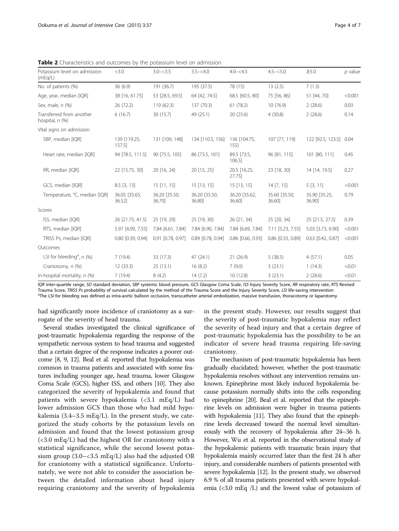| Potassium level on admission<br>(mEq/L)          | <3.0                    | $3.0 - 3.5$            | $3.5 - 4.0$            | $4.0 - 4.5$            | $4.5 - 5.0$            | $\geq 5.0$              | $p$ value |
|--------------------------------------------------|-------------------------|------------------------|------------------------|------------------------|------------------------|-------------------------|-----------|
| No. of patients (%)                              | 36(6.9)                 | 191 (36.7)             | 195 (37.5)             | 78 (15)                | 13(2.5)                | 7(1.3)                  |           |
| Age, year, median [IQR]                          | 38 [16, 61.75]          | 53 [28.5, 69.5]        | 64 [42, 74.5]          | 68.5 [60.5, 80]        | 75 [56, 86]            | 51 [44, 70]             | < 0.001   |
| Sex, male, n (%)                                 | 26 (72.2)               | 119(62.3)              | 137 (70.3)             | 61 (78.2)              | 10 (76.9)              | 2(28.6)                 | 0.03      |
| Transferred from another<br>hospital, $n$ $(\%)$ | 6(16.7)                 | 30 (15.7)              | 49 (25.1)              | 20(25.6)               | 4(30.8)                | 2(28.6)                 | 0.14      |
| Vital signs on admission                         |                         |                        |                        |                        |                        |                         |           |
| SBP, median [IQR]                                | 139 [119.25,<br>157.5]  | 131 [109, 148]         | 134 [110.5, 156]       | 136 [104.75,<br>155]   | 107 [77, 119]          | 122 [92.5, 123.5] 0.04  |           |
| Heart rate, median [IQR]                         | 94 [78.5, 111.5]        | 90 [75.5, 105]         | 86 [73.5, 101]         | 89.5 [73.5,<br>106.51  | 96 [81, 115]           | 101 [80, 111]           | 0.45      |
| RR, median [IQR]                                 | 22 [15.75, 30]          | 20 [16, 24]            | 20 [15, 25]            | 20.5 [16.25,<br>27.75  | 23 [18, 30]            | 14 [14, 19.5]           | 0.27      |
| GCS, median [IQR]                                | $8.5$ [3, 13]           | $15$ [11, 15]          | 15 [13, 15]            | $15$ [13, 15]          | 14 [7, 15]             | 5[3, 11]                | < 0.001   |
| Temperature, °C, median [IQR]                    | 36.05 [35.65,<br>36.52] | 36.20 [35.50,<br>36.70 | 36.20 [35.50,<br>36.80 | 36.20 [35.62,<br>36.60 | 35.60 [35.50,<br>36.60 | 35.90 [35.25,<br>36.90] | 0.79      |
| Scores                                           |                         |                        |                        |                        |                        |                         |           |
| ISS, median [IQR]                                | 26 [21.75, 41.5]        | 25 [19, 29]            | 25 [19, 30]            | 26 [21, 34]            | 25 [20, 34]            | 25 [21.5, 27.5]         | 0.39      |
| RTS, median [IQR]                                | 5.97 [4.09, 7.55]       | 7.84 [6.61, 7.84]      | 7.84 [6.90, 7.84]      | 7.84 [6.69, 7.84]      | 7.11 [5.23, 7.55]      | 5.03 [3.73, 6.90]       | < 0.001   |
| TRISS Ps, median [IQR]                           | 0.80 [0.39, 0.94]       | 0.91 [0.78, 0.97]      | 0.89 [0.78, 0.94]      | 0.86 [0.66, 0.93]      | 0.86 [0.33, 0.89]      | $0.63$ $[0.42, 0.87]$   | < 0.001   |
| Outcomes                                         |                         |                        |                        |                        |                        |                         |           |
| LSI for bleeding <sup>a</sup> , $n$ (%)          | 7(19.4)                 | 33 (17.3)              | 47(24.1)               | 21(26.9)               | 5(38.5)                | 4(57.1)                 | 0.05      |
| Craniotomy, n (%)                                | 12 (33.3)               | 25(13.1)               | 16(8.2)                | 7(9.0)                 | 3(23.1)                | 1(14.3)                 | < 0.01    |
| In-hospital mortality, $n$ (%)                   | 7(19.4)                 | 8(4.2)                 | 14(7.2)                | 10(12.8)               | 3(23.1)                | 2(28.6)                 | < 0.01    |

<span id="page-3-0"></span>**Table 2** Characteristics and outcomes by the potassium level on admission

IQR inter-quartile range, SD standard deviation, SBP systemic blood pressure, GCS Glasgow Coma Scale, ISS Injury Severity Score, RR respiratory rate, RTS Revised Trauma Score, TRISS Ps probability of survival calculated by the method of the Trauma Score and the Injury Severity Score, LSI life-saving intervention <sup>a</sup> <sup>a</sup>The LSI for bleeding was defined as intra-aortic balloon occlusion, transcatheter arterial embolization, massive transfusion, thoracotomy or laparotomy

had significantly more incidence of craniotomy as a surrogate of the severity of head trauma.

Several studies investigated the clinical significance of post-traumatic hypokalemia regarding the response of the sympathetic nervous system to head trauma and suggested that a certain degree of the response indicates a poorer outcome [[8](#page-6-0), [9, 12\]](#page-6-0). Beal et al. reported that hypokalemia was common in trauma patients and associated with some features including younger age, head trauma, lower Glasgow Coma Scale (GCS), higher ISS, and others [[10](#page-6-0)]. They also categorized the severity of hypokalemia and found that patients with severe hypokalemia (<3.1 mEq/L) had lower admission GCS than those who had mild hypokalemia  $(3.4-3.5 \text{ mEq/L})$ . In the present study, we categorized the study cohorts by the potassium levels on admission and found that the lowest potassium group (<3.0 mEq/L) had the highest OR for craniotomy with a statistical significance, while the second lowest potassium group  $(3.0 - < 3.5 \text{ mEq/L})$  also had the adjusted OR for craniotomy with a statistical significance. Unfortunately, we were not able to consider the association between the detailed information about head injury requiring craniotomy and the severity of hypokalemia in the present study. However, our results suggest that the severity of post-traumatic hypokalemia may reflect the severity of head injury and that a certain degree of post-traumatic hypokalemia has the possibility to be an indicator of severe head trauma requiring life-saving craniotomy.

The mechanism of post-traumatic hypokalemia has been gradually elucidated; however, whether the post-traumatic hypokalemia resolves without any intervention remains unknown. Epinephrine most likely induced hypokalemia because potassium normally shifts into the cells responding to epinephrine [[20](#page-6-0)]. Beal et al. reported that the epinephrine levels on admission were higher in trauma patients with hypokalemia [[11\]](#page-6-0). They also found that the epinephrine levels decreased toward the normal level simultaneously with the recovery of hypokalemia after 24–36 h. However, Wu et al. reported in the observational study of the hypokalemic patients with traumatic brain injury that hypokalemia mainly occurred later than the first 24 h after injury, and considerable numbers of patients presented with severe hypokalemia [\[12\]](#page-6-0). In the present study, we observed 6.9 % of all trauma patients presented with severe hypokalemia (<3.0 mEq /L) and the lowest value of potassium of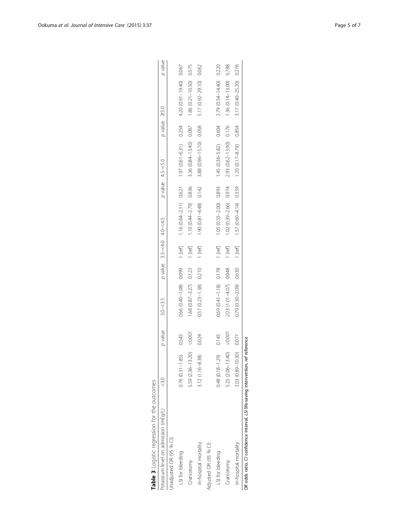| Table 3 Logistic regression for the outcomes                                       |                        |         |                           |                           |                                      |                         |                      |                      |         |
|------------------------------------------------------------------------------------|------------------------|---------|---------------------------|---------------------------|--------------------------------------|-------------------------|----------------------|----------------------|---------|
| Potassium level on admission (mEq/L)                                               |                        | p value | $3.0 - 3.5$               | p value 3.5-<4.0 4.0-<4.5 |                                      | $p$ value $4.5 - 5.0$   | $p$ value $\geq$ 5.0 |                      | p value |
| Jnadjusted OR (95 % CI)                                                            |                        |         |                           |                           |                                      |                         |                      |                      |         |
| LSI for bleeding                                                                   | $0.76$ $(0.31 - 1.85)$ | 0.545   | 0.66 (0.40-1.08) 0.099    | 1 [ref]                   | 1.16 $(0.64 - 2.11)$ 0.627           | $1.97(0.61 - 6.31)$     | 0.254                | 4.20 (0.91-19.40)    | 0.067   |
| Craniotomy                                                                         | 5.59 (2.36-13.20)      | 1000    | $1.68(0.87 - 3.27)$ 0.123 | $1$ [ref]                 | 1.10 $(0.44 - 2.79)$ 0.836           | 3.36 (0.84-13.40) 0.087 |                      | $1.86(0.21 - 16.50)$ | 0.575   |
| In-hospital mortality                                                              | $3.12(1.16 - 8.38)$    | 0.024   | $0.57(0.23 - 1.38)$ 0.210 | $1$ [ref]                 | 1.90 (0.81 -4.48) 0.142              | 3.88 (0.96-15.70) 0.058 |                      | 5.17 (0.92-29.10)    | 0.062   |
| Adjusted OR (95 % CI)                                                              |                        |         |                           |                           |                                      |                         |                      |                      |         |
| LSI for bleeding                                                                   | $0.48(0.18 - 1.29)$    | 0.145   | $0.69(0.41 - 1.18)$ 0.178 | $1$ [ref]                 | 1.05 (0.55-2.00) 0.893               | $1.45(0.36 - 5.82)$     | 0.604                | 2.79 (0.54-14.40)    | 0.220   |
| Craniotomy                                                                         | 5.25 (2.06-13.40)      | 0.001   | 2.03 (1.01-4.07) 0.048    | 1 [ref]                   | 1.02 (0.39-2.66) 0.974               | 2.93 (0.62-13.90) 0.176 |                      | $1.36(0.14 - 13.00)$ | 0.788   |
| In-hospital mortality                                                              | 3.03 (0.89-10.30)      | 0.077   | $0.79(0.30-2.09)$ 0.630   |                           | $1 [ref]$ $57 (0.60 - 4.14)$ $0.359$ | $1.20(0.17 - 8.79)$     | 0.854                | $3.17(0.40 - 25.20)$ | 0.276   |
| OR odds ratio, CI confidence interval, LSI life-saving intervention, ref reference |                        |         |                           |                           |                                      |                         |                      |                      |         |

| j<br>$\overline{\phantom{a}}$<br>$\frac{1}{2}$<br>I |
|-----------------------------------------------------|
| i                                                   |
| i                                                   |
| ١                                                   |
| l<br>i<br>i<br>I                                    |
|                                                     |
|                                                     |

<span id="page-4-0"></span>Ookuma et al. Journal of Intensive Care (2015) 3:37 Page 5 of 7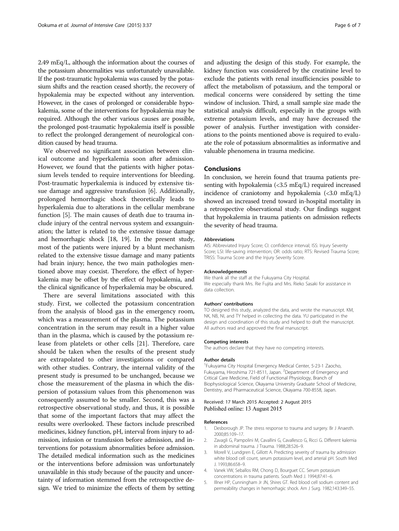<span id="page-5-0"></span>2.49 mEq/L, although the information about the courses of the potassium abnormalities was unfortunately unavailable. If the post-traumatic hypokalemia was caused by the potassium shifts and the reaction ceased shortly, the recovery of hypokalemia may be expected without any intervention. However, in the cases of prolonged or considerable hypokalemia, some of the interventions for hypokalemia may be required. Although the other various causes are possible, the prolonged post-traumatic hypokalemia itself is possible to reflect the prolonged derangement of neurological condition caused by head trauma.

We observed no significant association between clinical outcome and hyperkalemia soon after admission. However, we found that the patients with higher potassium levels tended to require interventions for bleeding. Post-traumatic hyperkalemia is induced by extensive tissue damage and aggressive transfusion [\[6](#page-6-0)]. Additionally, prolonged hemorrhagic shock theoretically leads to hyperkalemia due to alterations in the cellular membrane function [5]. The main causes of death due to trauma include injury of the central nervous system and exsanguination; the latter is related to the extensive tissue damage and hemorrhagic shock [[18, 19](#page-6-0)]. In the present study, most of the patients were injured by a blunt mechanism related to the extensive tissue damage and many patients had brain injury; hence, the two main pathologies mentioned above may coexist. Therefore, the effect of hyperkalemia may be offset by the effect of hypokalemia, and the clinical significance of hyperkalemia may be obscured.

There are several limitations associated with this study. First, we collected the potassium concentration from the analysis of blood gas in the emergency room, which was a measurement of the plasma. The potassium concentration in the serum may result in a higher value than in the plasma, which is caused by the potassium release from platelets or other cells [\[21](#page-6-0)]. Therefore, care should be taken when the results of the present study are extrapolated to other investigations or compared with other studies. Contrary, the internal validity of the present study is presumed to be unchanged, because we chose the measurement of the plasma in which the dispersion of potassium values from this phenomenon was consequently assumed to be smaller. Second, this was a retrospective observational study, and thus, it is possible that some of the important factors that may affect the results were overlooked. These factors include prescribed medicines, kidney function, pH, interval from injury to admission, infusion or transfusion before admission, and interventions for potassium abnormalities before admission. The detailed medical information such as the medicines or the interventions before admission was unfortunately unavailable in this study because of the paucity and uncertainty of information stemmed from the retrospective design. We tried to minimize the effects of them by setting

and adjusting the design of this study. For example, the kidney function was considered by the creatinine level to exclude the patients with renal insufficiencies possible to affect the metabolism of potassium, and the temporal or medical concerns were considered by setting the time window of inclusion. Third, a small sample size made the statistical analysis difficult, especially in the groups with extreme potassium levels, and may have decreased the power of analysis. Further investigation with considerations to the points mentioned above is required to evaluate the role of potassium abnormalities as informative and valuable phenomena in trauma medicine.

## Conclusions

In conclusion, we herein found that trauma patients presenting with hypokalemia (<3.5 mEq/L) required increased incidence of craniotomy and hypokalemia  $\langle$  <3.0 mEq/L) showed an increased trend toward in-hospital mortality in a retrospective observational study. Our findings suggest that hypokalemia in trauma patients on admission reflects the severity of head trauma.

#### **Abbreviations**

AIS: Abbreviated Injury Score; CI: confidence interval; ISS: Injury Severity Score; LSI: life-saving intervention; OR: odds ratio; RTS: Revised Trauma Score; TRISS: Trauma Score and the Injury Severity Score.

#### Acknowledgements

We thank all the staff at the Fukuyama City Hospital. We especially thank Mrs. Rie Fujita and Mrs. Rieko Sasaki for assistance in data collection.

#### Authors' contributions

TO designed this study, analyzed the data, and wrote the manuscript. KM, NK, NB, NI, and TY helped in collecting the data. YU participated in the design and coordination of this study and helped to draft the manuscript. All authors read and approved the final manuscript.

#### Competing interests

The authors declare that they have no competing interests.

#### Author details

1 Fukuyama City Hospital Emergency Medical Center, 5-23-1 Zaocho, Fukuyama, Hiroshima 721-8511, Japan. <sup>2</sup>Department of Emergency and Critical Care Medicine, Field of Functional Physiology, Branch of Biophysiological Science, Okayama University Graduate School of Medicine, Dentistry, and Pharmaceutical Science, Okayama 700-8558, Japan.

## Received: 17 March 2015 Accepted: 2 August 2015 Published online: 13 August 2015

#### References

- 1. Desborough JP. The stress response to trauma and surgery. Br J Anaesth. 2000;85:109–17.
- 2. Zavagli G, Pampolini M, Cavallini G, Cavallesco G, Ricci G. Different kalemia in abdominal trauma. J Trauma. 1988;28:526–9.
- 3. Morell V, Lundgren E, Gillott A. Predicting severity of trauma by admission white blood cell count, serum potassium level, and arterial pH. South Med J. 1993;86:658–9.
- 4. Vanek VW, Seballos RM, Chong D, Bourguet CC. Serum potassium concentrations in trauma patients. South Med J. 1994;87:41–6.
- 5. Illner HP, Cunningham Jr JN, Shires GT. Red blood cell sodium content and permeability changes in hemorrhagic shock. Am J Surg. 1982;143:349–55.